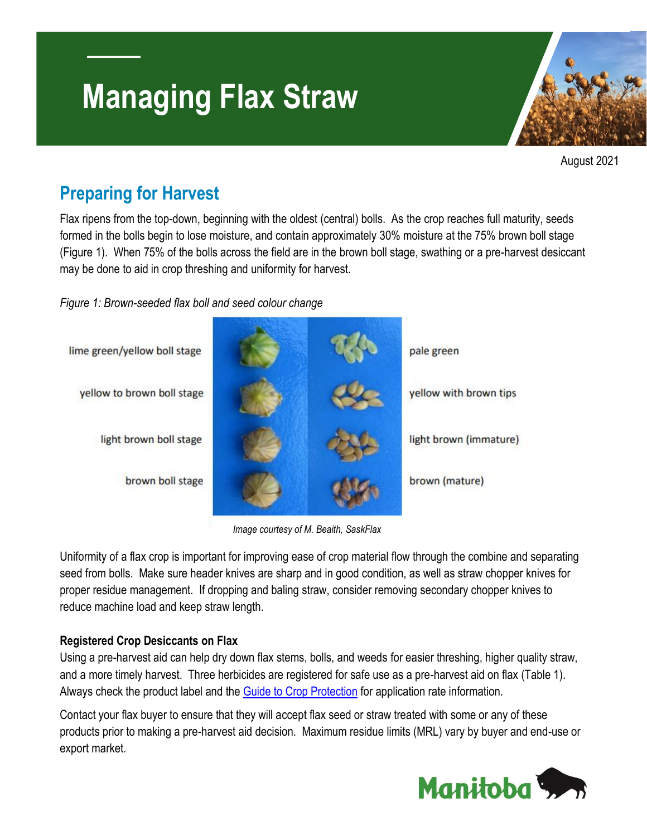# **Managing Flax Straw**



August 2021

### **Preparing for Harvest**

Flax ripens from the top-down, beginning with the oldest (central) bolls. As the crop reaches full maturity, seeds formed in the bolls begin to lose moisture, and contain approximately 30% moisture at the 75% brown boll stage (Figure 1). When 75% of the bolls across the field are in the brown boll stage, swathing or a pre-harvest desiccant may be done to aid in crop threshing and uniformity for harvest.

*Figure 1: Brown-seeded flax boll and seed colour change*



*Image courtesy of M. Beaith, SaskFlax*

Uniformity of a flax crop is important for improving ease of crop material flow through the combine and separating seed from bolls. Make sure header knives are sharp and in good condition, as well as straw chopper knives for proper residue management. If dropping and baling straw, consider removing secondary chopper knives to reduce machine load and keep straw length.

#### **Registered Crop Desiccants on Flax**

Using a pre-harvest aid can help dry down flax stems, bolls, and weeds for easier threshing, higher quality straw, and a more timely harvest. Three herbicides are registered for safe use as a pre-harvest aid on flax (Table 1). Always check the product label and the [Guide to Crop Protection](https://www.gov.mb.ca/agriculture/crops/guides-and-publications/pubs/guide-crop-protection-2021.pdf) for application rate information.

Contact your flax buyer to ensure that they will accept flax seed or straw treated with some or any of these products prior to making a pre-harvest aid decision. Maximum residue limits (MRL) vary by buyer and end-use or export market.